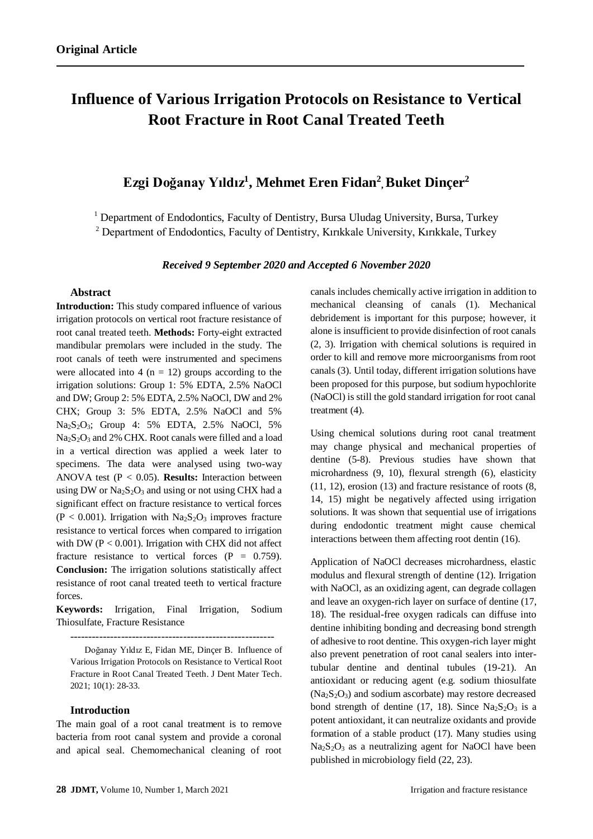# **Influence of Various Irrigation Protocols on Resistance to Vertical Root Fracture in Root Canal Treated Teeth**

# **Ezgi Doğanay Yıldız<sup>1</sup> , Mehmet Eren Fidan<sup>2</sup> , Buket Dinçer<sup>2</sup>**

<sup>1</sup> Department of Endodontics, Faculty of Dentistry, Bursa Uludag University, Bursa, Turkey <sup>2</sup> Department of Endodontics, Faculty of Dentistry, Kırıkkale University, Kırıkkale, Turkey

*Received 9 September 2020 and Accepted 6 November 2020*

#### **Abstract**

**Introduction:** This study compared influence of various irrigation protocols on vertical root fracture resistance of root canal treated teeth. **Methods:** Forty-eight extracted mandibular premolars were included in the study. The root canals of teeth were instrumented and specimens were allocated into 4 ( $n = 12$ ) groups according to the irrigation solutions: Group 1: 5% EDTA, 2.5% NaOCl and DW; Group 2: 5% EDTA, 2.5% NaOCl, DW and 2% CHX; Group 3: 5% EDTA, 2.5% NaOCl and 5% Na2S2O3; Group 4: 5% EDTA, 2.5% NaOCl, 5% Na<sub>2</sub>S<sub>2</sub>O<sub>3</sub> and 2% CHX. Root canals were filled and a load in a vertical direction was applied a week later to specimens. The data were analysed using two-way ANOVA test (P < 0.05). **Results:** Interaction between using DW or  $Na<sub>2</sub>S<sub>2</sub>O<sub>3</sub>$  and using or not using CHX had a significant effect on fracture resistance to vertical forces  $(P < 0.001)$ . Irrigation with Na<sub>2</sub>S<sub>2</sub>O<sub>3</sub> improves fracture resistance to vertical forces when compared to irrigation with DW ( $P < 0.001$ ). Irrigation with CHX did not affect fracture resistance to vertical forces  $(P = 0.759)$ . **Conclusion:** The irrigation solutions statistically affect resistance of root canal treated teeth to vertical fracture forces.

**Keywords:** Irrigation, Final Irrigation, Sodium Thiosulfate, Fracture Resistance

--------------------------------------------------------

Doğanay Yıldız E, Fidan ME, Dinçer B. Influence of Various Irrigation Protocols on Resistance to Vertical Root Fracture in Root Canal Treated Teeth. J Dent Mater Tech. 2021; 10(1): 28-33.

#### **Introduction**

The main goal of a root canal treatment is to remove bacteria from root canal system and provide a coronal and apical seal. Chemomechanical cleaning of root canals includes chemically active irrigation in addition to mechanical cleansing of canals (1). Mechanical debridement is important for this purpose; however, it alone is insufficient to provide disinfection of root canals (2, 3). Irrigation with chemical solutions is required in order to kill and remove more microorganisms from root canals (3). Until today, different irrigation solutions have been proposed for this purpose, but sodium hypochlorite (NaOCl) is still the gold standard irrigation for root canal treatment (4).

Using chemical solutions during root canal treatment may change physical and mechanical properties of dentine (5-8). Previous studies have shown that microhardness (9, 10), flexural strength (6), elasticity (11, 12), erosion (13) and fracture resistance of roots (8, 14, 15) might be negatively affected using irrigation solutions. It was shown that sequential use of irrigations during endodontic treatment might cause chemical interactions between them affecting root dentin (16).

Application of NaOCl decreases microhardness, elastic modulus and flexural strength of dentine (12). Irrigation with NaOCl, as an oxidizing agent, can degrade collagen and leave an oxygen-rich layer on surface of dentine (17, 18). The residual-free oxygen radicals can diffuse into dentine inhibiting bonding and decreasing bond strength of adhesive to root dentine. This oxygen-rich layer might also prevent penetration of root canal sealers into intertubular dentine and dentinal tubules (19-21). An antioxidant or reducing agent (e.g. sodium thiosulfate  $(Na<sub>2</sub>S<sub>2</sub>O<sub>3</sub>)$  and sodium ascorbate) may restore decreased bond strength of dentine (17, 18). Since  $Na<sub>2</sub>S<sub>2</sub>O<sub>3</sub>$  is a potent antioxidant, it can neutralize oxidants and provide formation of a stable product (17). Many studies using  $Na<sub>2</sub>S<sub>2</sub>O<sub>3</sub>$  as a neutralizing agent for NaOCl have been published in microbiology field (22, 23).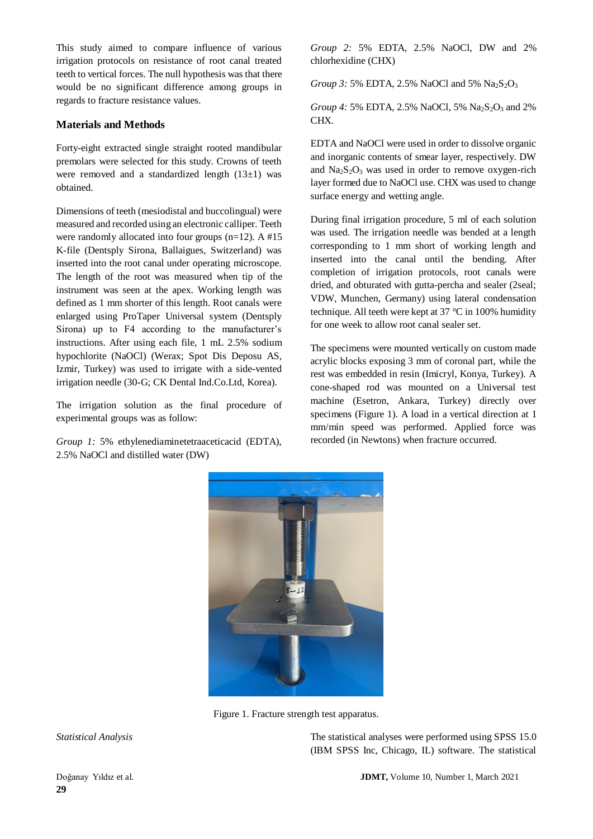This study aimed to compare influence of various irrigation protocols on resistance of root canal treated teeth to vertical forces. The null hypothesis was that there would be no significant difference among groups in regards to fracture resistance values.

## **Materials and Methods**

Forty-eight extracted single straight rooted mandibular premolars were selected for this study. Crowns of teeth were removed and a standardized length  $(13\pm1)$  was obtained.

Dimensions of teeth (mesiodistal and buccolingual) were measured and recorded using an electronic calliper. Teeth were randomly allocated into four groups  $(n=12)$ . A #15 K-file (Dentsply Sirona, Ballaigues, Switzerland) was inserted into the root canal under operating microscope. The length of the root was measured when tip of the instrument was seen at the apex. Working length was defined as 1 mm shorter of this length. Root canals were enlarged using ProTaper Universal system (Dentsply Sirona) up to F4 according to the manufacturer's instructions. After using each file, 1 mL 2.5% sodium hypochlorite (NaOCl) (Werax; Spot Dis Deposu AS, Izmir, Turkey) was used to irrigate with a side-vented irrigation needle (30-G; CK Dental Ind.Co.Ltd, Korea).

The irrigation solution as the final procedure of experimental groups was as follow:

*Group 1:* 5% ethylenediaminetetraaceticacid (EDTA), 2.5% NaOCl and distilled water (DW)

*Group 2:* 5% EDTA, 2.5% NaOCl, DW and 2% chlorhexidine (CHX)

*Group 3:* 5% EDTA, 2.5% NaOCl and 5% Na<sub>2</sub>S<sub>2</sub>O<sub>3</sub>

*Group 4:* 5% EDTA, 2.5% NaOCl, 5% Na<sub>2</sub>S<sub>2</sub>O<sub>3</sub> and 2% CHX.

EDTA and NaOCl were used in order to dissolve organic and inorganic contents of smear layer, respectively. DW and  $Na<sub>2</sub>S<sub>2</sub>O<sub>3</sub>$  was used in order to remove oxygen-rich layer formed due to NaOCl use. CHX was used to change surface energy and wetting angle.

During final irrigation procedure, 5 ml of each solution was used. The irrigation needle was bended at a length corresponding to 1 mm short of working length and inserted into the canal until the bending. After completion of irrigation protocols, root canals were dried, and obturated with gutta-percha and sealer (2seal; VDW, Munchen, Germany) using lateral condensation technique. All teeth were kept at 37 °C in 100% humidity for one week to allow root canal sealer set.

The specimens were mounted vertically on custom made acrylic blocks exposing 3 mm of coronal part, while the rest was embedded in resin (Imicryl, Konya, Turkey). A cone-shaped rod was mounted on a Universal test machine (Esetron, Ankara, Turkey) directly over specimens (Figure 1). A load in a vertical direction at 1 mm/min speed was performed. Applied force was recorded (in Newtons) when fracture occurred.



Figure 1. Fracture strength test apparatus.

*Statistical Analysis* The statistical analyses were performed using SPSS 15.0 (IBM SPSS Inc, Chicago, IL) software. The statistical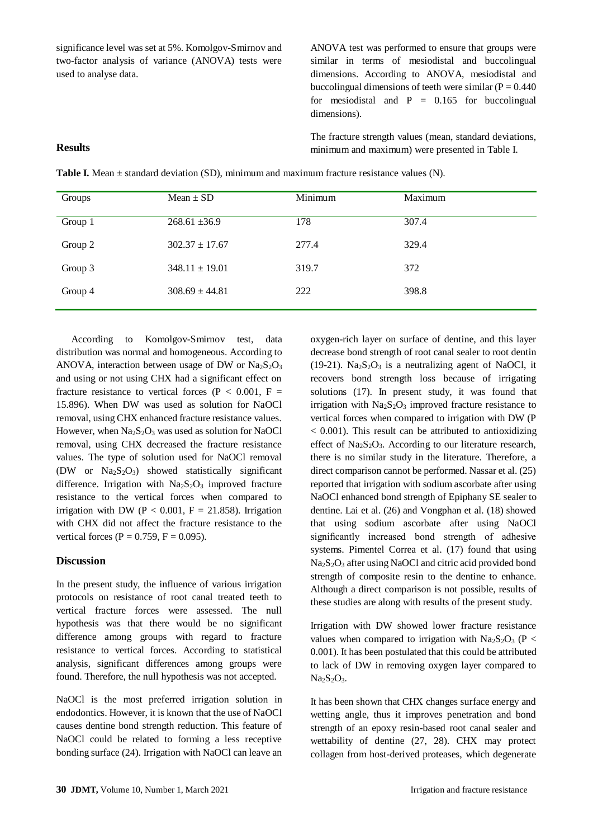significance level was set at 5%. Komolgov-Smirnov and two-factor analysis of variance (ANOVA) tests were used to analyse data.

ANOVA test was performed to ensure that groups were similar in terms of mesiodistal and buccolingual dimensions. According to ANOVA, mesiodistal and buccolingual dimensions of teeth were similar ( $P = 0.440$ ) for mesiodistal and  $P = 0.165$  for buccolingual dimensions).

The fracture strength values (mean, standard deviations, minimum and maximum) were presented in Table I.

**Table I.** Mean  $\pm$  standard deviation (SD), minimum and maximum fracture resistance values (N).

| Groups  | Mean $\pm$ SD      | Minimum | Maximum |
|---------|--------------------|---------|---------|
| Group 1 | $268.61 \pm 36.9$  | 178     | 307.4   |
| Group 2 | $302.37 \pm 17.67$ | 277.4   | 329.4   |
| Group 3 | $348.11 \pm 19.01$ | 319.7   | 372     |
| Group 4 | $308.69 \pm 44.81$ | 222     | 398.8   |
|         |                    |         |         |

 According to Komolgov-Smirnov test, data distribution was normal and homogeneous. According to ANOVA, interaction between usage of DW or  $Na<sub>2</sub>S<sub>2</sub>O<sub>3</sub>$ and using or not using CHX had a significant effect on fracture resistance to vertical forces ( $P < 0.001$ ,  $F =$ 15.896). When DW was used as solution for NaOCl removal, using CHX enhanced fracture resistance values. However, when  $Na<sub>2</sub>S<sub>2</sub>O<sub>3</sub>$  was used as solution for NaOCl removal, using CHX decreased the fracture resistance values. The type of solution used for NaOCl removal (DW or  $Na<sub>2</sub>S<sub>2</sub>O<sub>3</sub>$ ) showed statistically significant difference. Irrigation with  $Na<sub>2</sub>S<sub>2</sub>O<sub>3</sub>$  improved fracture resistance to the vertical forces when compared to irrigation with DW ( $P < 0.001$ ,  $F = 21.858$ ). Irrigation with CHX did not affect the fracture resistance to the vertical forces (P =  $0.759$ , F =  $0.095$ ).

#### **Discussion**

**Results**

In the present study, the influence of various irrigation protocols on resistance of root canal treated teeth to vertical fracture forces were assessed. The null hypothesis was that there would be no significant difference among groups with regard to fracture resistance to vertical forces. According to statistical analysis, significant differences among groups were found. Therefore, the null hypothesis was not accepted.

NaOCl is the most preferred irrigation solution in endodontics. However, it is known that the use of NaOCl causes dentine bond strength reduction. This feature of NaOCl could be related to forming a less receptive bonding surface (24). Irrigation with NaOCl can leave an oxygen-rich layer on surface of dentine, and this layer decrease bond strength of root canal sealer to root dentin (19-21).  $Na<sub>2</sub>S<sub>2</sub>O<sub>3</sub>$  is a neutralizing agent of NaOCl, it recovers bond strength loss because of irrigating solutions (17). In present study, it was found that irrigation with  $Na<sub>2</sub>S<sub>2</sub>O<sub>3</sub>$  improved fracture resistance to vertical forces when compared to irrigation with DW (P  $<$  0.001). This result can be attributed to antioxidizing effect of  $Na<sub>2</sub>S<sub>2</sub>O<sub>3</sub>$ . According to our literature research, there is no similar study in the literature. Therefore, a direct comparison cannot be performed. Nassar et al. (25) reported that irrigation with sodium ascorbate after using NaOCl enhanced bond strength of Epiphany SE sealer to dentine. Lai et al. (26) and Vongphan et al. (18) showed that using sodium ascorbate after using NaOCl significantly increased bond strength of adhesive systems. Pimentel Correa et al. (17) found that using Na<sub>2</sub>S<sub>2</sub>O<sub>3</sub> after using NaOCl and citric acid provided bond strength of composite resin to the dentine to enhance. Although a direct comparison is not possible, results of these studies are along with results of the present study.

Irrigation with DW showed lower fracture resistance values when compared to irrigation with  $Na<sub>2</sub>S<sub>2</sub>O<sub>3</sub>$  (P < 0.001). It has been postulated that this could be attributed to lack of DW in removing oxygen layer compared to  $Na<sub>2</sub>S<sub>2</sub>O<sub>3</sub>$ .

It has been shown that CHX changes surface energy and wetting angle, thus it improves penetration and bond strength of an epoxy resin-based root canal sealer and wettability of dentine (27, 28). CHX may protect collagen from host-derived proteases, which degenerate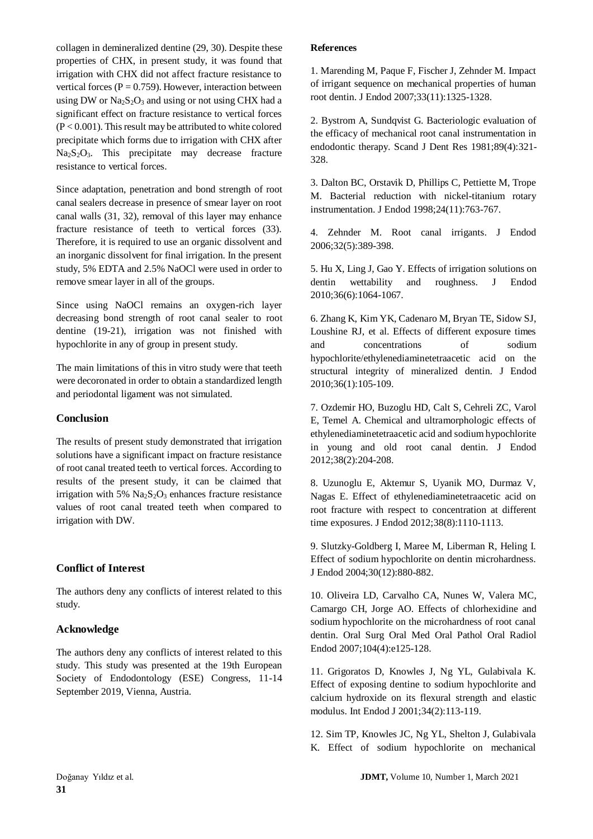collagen in demineralized dentine (29, 30). Despite these properties of CHX, in present study, it was found that irrigation with CHX did not affect fracture resistance to vertical forces ( $P = 0.759$ ). However, interaction between using DW or  $Na<sub>2</sub>S<sub>2</sub>O<sub>3</sub>$  and using or not using CHX had a significant effect on fracture resistance to vertical forces  $(P < 0.001)$ . This result may be attributed to white colored precipitate which forms due to irrigation with CHX after  $Na<sub>2</sub>S<sub>2</sub>O<sub>3</sub>$ . This precipitate may decrease fracture resistance to vertical forces.

Since adaptation, penetration and bond strength of root canal sealers decrease in presence of smear layer on root canal walls (31, 32), removal of this layer may enhance fracture resistance of teeth to vertical forces (33). Therefore, it is required to use an organic dissolvent and an inorganic dissolvent for final irrigation. In the present study, 5% EDTA and 2.5% NaOCl were used in order to remove smear layer in all of the groups.

Since using NaOCl remains an oxygen-rich layer decreasing bond strength of root canal sealer to root dentine (19-21), irrigation was not finished with hypochlorite in any of group in present study.

The main limitations of this in vitro study were that teeth were decoronated in order to obtain a standardized length and periodontal ligament was not simulated.

## **Conclusion**

The results of present study demonstrated that irrigation solutions have a significant impact on fracture resistance of root canal treated teeth to vertical forces. According to results of the present study, it can be claimed that irrigation with 5%  $Na<sub>2</sub>S<sub>2</sub>O<sub>3</sub>$  enhances fracture resistance values of root canal treated teeth when compared to irrigation with DW.

# **Conflict of Interest**

The authors deny any conflicts of interest related to this study.

#### **Acknowledge**

The authors deny any conflicts of interest related to this study. This study was presented at the 19th European Society of Endodontology (ESE) Congress, 11-14 September 2019, Vienna, Austria.

#### **References**

1. Marending M, Paque F, Fischer J, Zehnder M. Impact of irrigant sequence on mechanical properties of human root dentin. J Endod 2007;33(11):1325-1328.

2. Bystrom A, Sundqvist G. Bacteriologic evaluation of the efficacy of mechanical root canal instrumentation in endodontic therapy. Scand J Dent Res 1981;89(4):321- 328.

3. Dalton BC, Orstavik D, Phillips C, Pettiette M, Trope M. Bacterial reduction with nickel-titanium rotary instrumentation. J Endod 1998;24(11):763-767.

4. Zehnder M. Root canal irrigants. J Endod 2006;32(5):389-398.

5. Hu X, Ling J, Gao Y. Effects of irrigation solutions on dentin wettability and roughness. J Endod 2010;36(6):1064-1067.

6. Zhang K, Kim YK, Cadenaro M, Bryan TE, Sidow SJ, Loushine RJ, et al. Effects of different exposure times and concentrations of sodium hypochlorite/ethylenediaminetetraacetic acid on the structural integrity of mineralized dentin. J Endod 2010;36(1):105-109.

7. Ozdemir HO, Buzoglu HD, Calt S, Cehreli ZC, Varol E, Temel A. Chemical and ultramorphologic effects of ethylenediaminetetraacetic acid and sodium hypochlorite in young and old root canal dentin. J Endod 2012;38(2):204-208.

8. Uzunoglu E, Aktemur S, Uyanik MO, Durmaz V, Nagas E. Effect of ethylenediaminetetraacetic acid on root fracture with respect to concentration at different time exposures. J Endod 2012;38(8):1110-1113.

9. Slutzky-Goldberg I, Maree M, Liberman R, Heling I. Effect of sodium hypochlorite on dentin microhardness. J Endod 2004;30(12):880-882.

10. Oliveira LD, Carvalho CA, Nunes W, Valera MC, Camargo CH, Jorge AO. Effects of chlorhexidine and sodium hypochlorite on the microhardness of root canal dentin. Oral Surg Oral Med Oral Pathol Oral Radiol Endod 2007;104(4):e125-128.

11. Grigoratos D, Knowles J, Ng YL, Gulabivala K. Effect of exposing dentine to sodium hypochlorite and calcium hydroxide on its flexural strength and elastic modulus. Int Endod J 2001;34(2):113-119.

12. Sim TP, Knowles JC, Ng YL, Shelton J, Gulabivala K. Effect of sodium hypochlorite on mechanical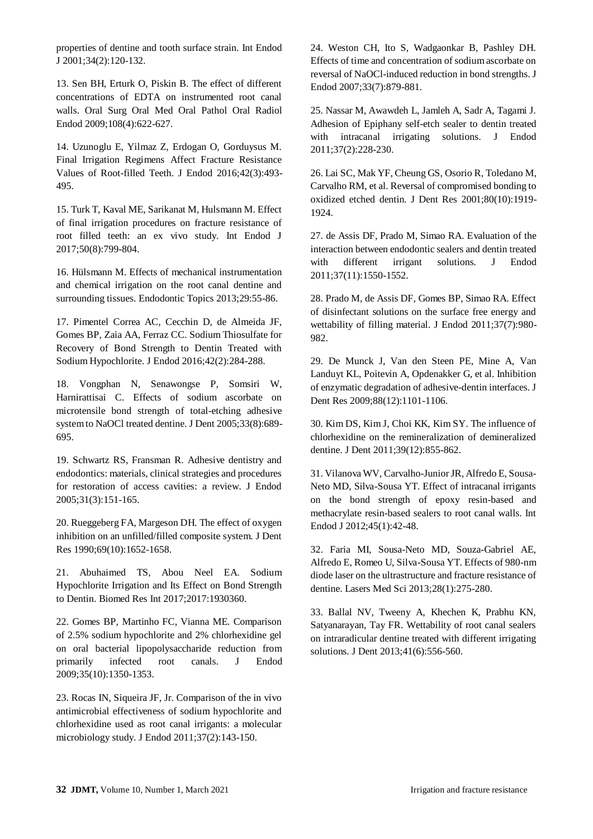properties of dentine and tooth surface strain. Int Endod J 2001;34(2):120-132.

13. Sen BH, Erturk O, Piskin B. The effect of different concentrations of EDTA on instrumented root canal walls. Oral Surg Oral Med Oral Pathol Oral Radiol Endod 2009;108(4):622-627.

14. Uzunoglu E, Yilmaz Z, Erdogan O, Gorduysus M. Final Irrigation Regimens Affect Fracture Resistance Values of Root-filled Teeth. J Endod 2016;42(3):493- 495.

15. Turk T, Kaval ME, Sarikanat M, Hulsmann M. Effect of final irrigation procedures on fracture resistance of root filled teeth: an ex vivo study. Int Endod J 2017;50(8):799-804.

16. Hülsmann M. Effects of mechanical instrumentation and chemical irrigation on the root canal dentine and surrounding tissues. Endodontic Topics 2013;29:55-86.

17. Pimentel Correa AC, Cecchin D, de Almeida JF, Gomes BP, Zaia AA, Ferraz CC. Sodium Thiosulfate for Recovery of Bond Strength to Dentin Treated with Sodium Hypochlorite. J Endod 2016;42(2):284-288.

18. Vongphan N, Senawongse P, Somsiri W, Harnirattisai C. Effects of sodium ascorbate on microtensile bond strength of total-etching adhesive system to NaOCl treated dentine. J Dent 2005;33(8):689- 695.

19. Schwartz RS, Fransman R. Adhesive dentistry and endodontics: materials, clinical strategies and procedures for restoration of access cavities: a review. J Endod 2005;31(3):151-165.

20. Rueggeberg FA, Margeson DH. The effect of oxygen inhibition on an unfilled/filled composite system. J Dent Res 1990;69(10):1652-1658.

21. Abuhaimed TS, Abou Neel EA. Sodium Hypochlorite Irrigation and Its Effect on Bond Strength to Dentin. Biomed Res Int 2017;2017:1930360.

22. Gomes BP, Martinho FC, Vianna ME. Comparison of 2.5% sodium hypochlorite and 2% chlorhexidine gel on oral bacterial lipopolysaccharide reduction from primarily infected root canals. J Endod 2009;35(10):1350-1353.

23. Rocas IN, Siqueira JF, Jr. Comparison of the in vivo antimicrobial effectiveness of sodium hypochlorite and chlorhexidine used as root canal irrigants: a molecular microbiology study. J Endod 2011;37(2):143-150.

24. Weston CH, Ito S, Wadgaonkar B, Pashley DH. Effects of time and concentration of sodium ascorbate on reversal of NaOCl-induced reduction in bond strengths. J Endod 2007;33(7):879-881.

25. Nassar M, Awawdeh L, Jamleh A, Sadr A, Tagami J. Adhesion of Epiphany self-etch sealer to dentin treated with intracanal irrigating solutions. J Endod 2011;37(2):228-230.

26. Lai SC, Mak YF, Cheung GS, Osorio R, Toledano M, Carvalho RM, et al. Reversal of compromised bonding to oxidized etched dentin. J Dent Res 2001;80(10):1919- 1924.

27. de Assis DF, Prado M, Simao RA. Evaluation of the interaction between endodontic sealers and dentin treated with different irrigant solutions. J Endod 2011;37(11):1550-1552.

28. Prado M, de Assis DF, Gomes BP, Simao RA. Effect of disinfectant solutions on the surface free energy and wettability of filling material. J Endod 2011;37(7):980- 982.

29. De Munck J, Van den Steen PE, Mine A, Van Landuyt KL, Poitevin A, Opdenakker G, et al. Inhibition of enzymatic degradation of adhesive-dentin interfaces. J Dent Res 2009;88(12):1101-1106.

30. Kim DS, Kim J, Choi KK, Kim SY. The influence of chlorhexidine on the remineralization of demineralized dentine. J Dent 2011;39(12):855-862.

31. Vilanova WV, Carvalho-Junior JR, Alfredo E, Sousa-Neto MD, Silva-Sousa YT. Effect of intracanal irrigants on the bond strength of epoxy resin-based and methacrylate resin-based sealers to root canal walls. Int Endod J 2012;45(1):42-48.

32. Faria MI, Sousa-Neto MD, Souza-Gabriel AE, Alfredo E, Romeo U, Silva-Sousa YT. Effects of 980-nm diode laser on the ultrastructure and fracture resistance of dentine. Lasers Med Sci 2013;28(1):275-280.

33. Ballal NV, Tweeny A, Khechen K, Prabhu KN, Satyanarayan, Tay FR. Wettability of root canal sealers on intraradicular dentine treated with different irrigating solutions. J Dent 2013;41(6):556-560.